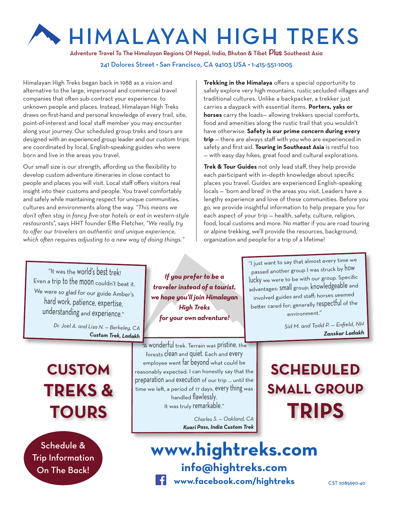# HIMALAYAN HIGH TREKS

Adventure Travel To The Himalayan Regions Of Nepal, India, Bhutan & Tibet **Plus** Southeast Asia

#### 241 Dolores Street • San Francisco, CA 94103 USA • 1-415-551-1005

Himalayan High Treks began back in 1988 as a vision and alternative to the large, impersonal and commercial travel companies that often sub-contract your experience to unknown people and places. Instead, Himalayan High Treks draws on first-hand and personal knowledge of every trail, site, point-of-interest and local staff member you may encounter along your journey. Our scheduled group treks and tours are designed with an experienced group leader and our custom trips are coordinated by local, English-speaking guides who were born and live in the areas you travel.

Our small size is our strength, affording us the flexibility to develop custom adventure itineraries in close contact to people and places you will visit. Local staff offers visitors real insight into their customs and people. You travel comfortably and safely while maintaining respect for unique communities, cultures and environments along the way. *"This means we don't often stay in fancy five-star hotels or eat in western-style restaurants",* says HHT founder Effie Fletcher, *"We really try to offer our travelers an authentic and unique experience, which often requires adjusting to a new way of doing things."*

**Trekking in the Himalaya** offers a special opportunity to safely explore very high mountains, rustic secluded villages and traditional cultures. Unlike a backpacker, a trekker just carries a daypack with essential items. **Porters, yaks or horses** carry the loads— allowing trekkers special comforts, food and amenities along the rustic trail that you wouldn't have otherwise. **Safety is our prime concern during every trip** — there are always staff with you who are experienced in safety and first aid. **Touring in Southeast Asia** is restful too — with easy day hikes, great food and cultural explorations.

**Trek & Tour Guides** not only lead staff, they help provide each participant with in–depth knowledge about specific places you travel. Guides are experienced English–speaking locals — 'born and bred' in the areas you visit. Leaders have a lengthy experience and love of these communities. Before you go, we provide insightful information to help prepare you for each aspect of your trip — health, safety, culture, religion, food, local customs and more. No matter if you are road touring or alpine trekking, we'll provide the resources, background, organization and people for a trip of a lifetime!

"It was the world's best trek! Even a trip to the moon couldn't beat it. We were so glad for our guide Amber's hard work, patience, expertise, understanding and experience."

> *Dr. Joel A. and Lisa N. — Berkeley, CA Custom Trek, Ladakh*

**CUSTOM TREKS & TOURS**

Schedule & Trip Information On The Back!

*If you prefer to be a traveler instead of a tourist, we hope you'll join Himalayan High Treks for your own adventure!*

"A wonderful trek. Terrain was pristine, the forests clean and quiet. Each and every employee went far beyond what could be reasonably expected. I can honestly say that the preparation and execution of our trip ... until the time we left, a period of 17 days, every thing was handled flawlessly. It was truly remarkable."

> *Charles S. — Oakland, CA Kuari Pass, India Custom Trek*

"I just want to say that almost every time we passed another group I was struck by how lucky we were to be with our group. Specific advantages: small group; knowledgeable and involved guides and staff; horses seeme<sup>d</sup> better cared for; generally respectful of the environment."

> *Sid M. and Todd P. — Enfield, NH Zanskar Ladakh*

## **SCHEDULED SMALL GROUP TRIPS**

**www.hightreks.com info@hightreks.com www.facebook.com/hightreks**